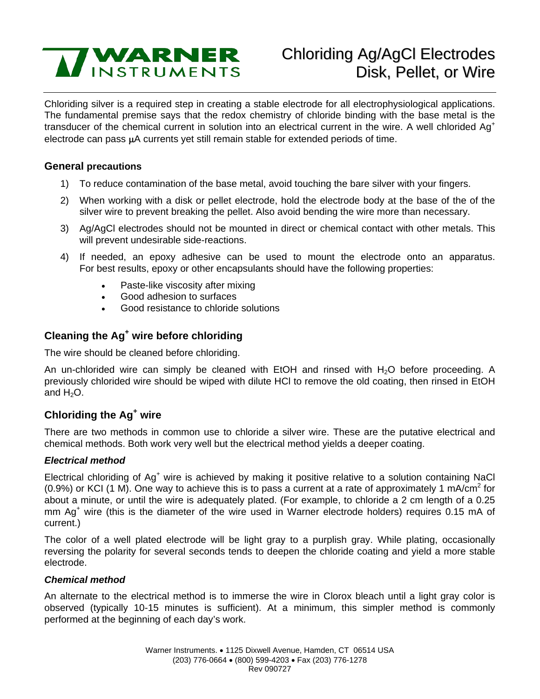

# Chloriding Ag/AgCl Electrodes Disk, Pellet, or Wire

Chloriding silver is a required step in creating a stable electrode for all electrophysiological applications. The fundamental premise says that the redox chemistry of chloride binding with the base metal is the transducer of the chemical current in solution into an electrical current in the wire. A well chlorided Ag<sup>+</sup> electrode can pass μA currents yet still remain stable for extended periods of time.

#### **General precautions**

- 1) To reduce contamination of the base metal, avoid touching the bare silver with your fingers.
- 2) When working with a disk or pellet electrode, hold the electrode body at the base of the of the silver wire to prevent breaking the pellet. Also avoid bending the wire more than necessary.
- 3) Ag/AgCl electrodes should not be mounted in direct or chemical contact with other metals. This will prevent undesirable side-reactions.
- 4) If needed, an epoxy adhesive can be used to mount the electrode onto an apparatus. For best results, epoxy or other encapsulants should have the following properties:
	- Paste-like viscosity after mixing
	- Good adhesion to surfaces
	- Good resistance to chloride solutions

## **Cleaning the Ag<sup>+</sup> wire before chloriding**

The wire should be cleaned before chloriding.

An un-chlorided wire can simply be cleaned with  $E$ tOH and rinsed with  $H_2$ O before proceeding. A previously chlorided wire should be wiped with dilute HCl to remove the old coating, then rinsed in EtOH and  $H_2O$ .

## **Chloriding the Ag<sup>+</sup> wire**

There are two methods in common use to chloride a silver wire. These are the putative electrical and chemical methods. Both work very well but the electrical method yields a deeper coating.

#### *Electrical method*

Electrical chloriding of Ag<sup>+</sup> wire is achieved by making it positive relative to a solution containing NaCl (0.9%) or KCI (1 M). One way to achieve this is to pass a current at a rate of approximately 1 mA/cm<sup>2</sup> for about a minute, or until the wire is adequately plated. (For example, to chloride a 2 cm length of a 0.25 mm Ag<sup>+</sup> wire (this is the diameter of the wire used in Warner electrode holders) requires 0.15 mA of current.)

The color of a well plated electrode will be light gray to a purplish gray. While plating, occasionally reversing the polarity for several seconds tends to deepen the chloride coating and yield a more stable electrode.

#### *Chemical method*

An alternate to the electrical method is to immerse the wire in Clorox bleach until a light gray color is observed (typically 10-15 minutes is sufficient). At a minimum, this simpler method is commonly performed at the beginning of each day's work.